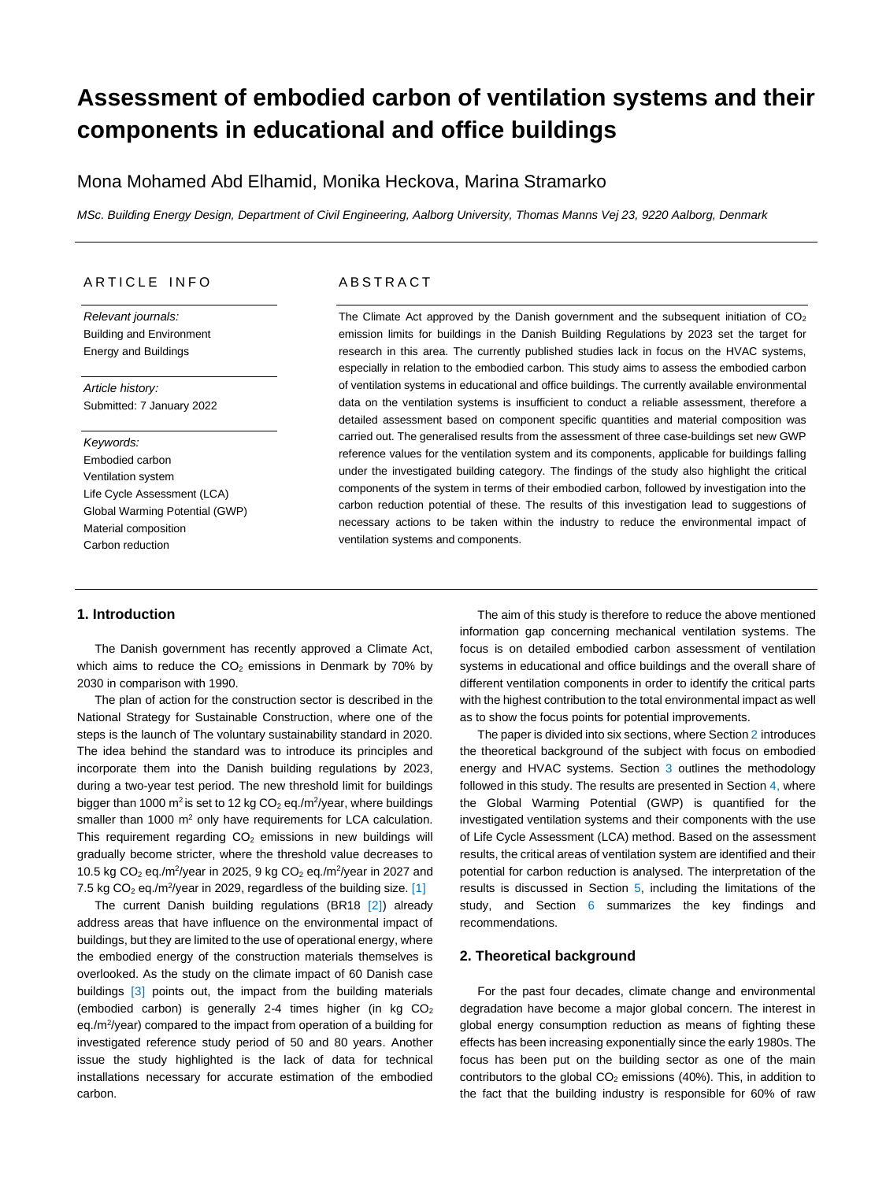# **Assessment of embodied carbon of ventilation systems and their components in educational and office buildings**

# Mona Mohamed Abd Elhamid, Monika Heckova, Marina Stramarko

*MSc. Building Energy Design, Department of Civil Engineering, Aalborg University, Thomas Manns Vej 23, 9220 Aalborg, Denmark*

# ARTICLE INFO

*Relevant journals:* Building and Environment Energy and Buildings

*Article history:* Submitted: 7 January 2022

# *Keywords:*

Embodied carbon Ventilation system Life Cycle Assessment (LCA) Global Warming Potential (GWP) Material composition Carbon reduction

# **ABSTRACT**

The Climate Act approved by the Danish government and the subsequent initiation of CO<sub>2</sub> emission limits for buildings in the Danish Building Regulations by 2023 set the target for research in this area. The currently published studies lack in focus on the HVAC systems, especially in relation to the embodied carbon. This study aims to assess the embodied carbon of ventilation systems in educational and office buildings. The currently available environmental data on the ventilation systems is insufficient to conduct a reliable assessment, therefore a detailed assessment based on component specific quantities and material composition was carried out. The generalised results from the assessment of three case-buildings set new GWP reference values for the ventilation system and its components, applicable for buildings falling under the investigated building category. The findings of the study also highlight the critical components of the system in terms of their embodied carbon, followed by investigation into the carbon reduction potential of these. The results of this investigation lead to suggestions of necessary actions to be taken within the industry to reduce the environmental impact of ventilation systems and components.

# **1. Introduction**

The Danish government has recently approved a Climate Act, which aims to reduce the  $CO<sub>2</sub>$  emissions in Denmark by 70% by 2030 in comparison with 1990.

The plan of action for the construction sector is described in the National Strategy for Sustainable Construction, where one of the steps is the launch of The voluntary sustainability standard in 2020. The idea behind the standard was to introduce its principles and incorporate them into the Danish building regulations by 2023, during a two-year test period. The new threshold limit for buildings bigger than 1000 m<sup>2</sup> is set to 12 kg  $CO<sub>2</sub>$  eq./m<sup>2</sup>/year, where buildings smaller than 1000 m<sup>2</sup> only have requirements for LCA calculation. This requirement regarding  $CO<sub>2</sub>$  emissions in new buildings will gradually become stricter, where the threshold value decreases to 10.5 kg CO<sub>2</sub> eq./m<sup>2</sup>/year in 2025, 9 kg CO<sub>2</sub> eq./m<sup>2</sup>/year in 2027 and 7.5 kg  $CO<sub>2</sub>$  eq./m<sup>2</sup>/year in 2029, regardless of the building size.  $[1]$ 

The current Danish building regulations (BR18 [2]) already address areas that have influence on the environmental impact of buildings, but they are limited to the use of operational energy, where the embodied energy of the construction materials themselves is overlooked. As the study on the climate impact of 60 Danish case buildings [3] points out, the impact from the building materials (embodied carbon) is generally 2-4 times higher (in kg  $CO<sub>2</sub>$ eq./m<sup>2</sup>/year) compared to the impact from operation of a building for investigated reference study period of 50 and 80 years. Another issue the study highlighted is the lack of data for technical installations necessary for accurate estimation of the embodied carbon.

The aim of this study is therefore to reduce the above mentioned information gap concerning mechanical ventilation systems. The focus is on detailed embodied carbon assessment of ventilation systems in educational and office buildings and the overall share of different ventilation components in order to identify the critical parts with the highest contribution to the total environmental impact as well as to show the focus points for potential improvements.

The paper is divided into six sections, where Sectio[n 2](#page-0-0) introduces the theoretical background of the subject with focus on embodied energy and HVAC systems. Section [3](#page-2-0) outlines the methodology followed in this study. The results are presented in Sectio[n 4,](#page-3-0) where the Global Warming Potential (GWP) is quantified for the investigated ventilation systems and their components with the use of Life Cycle Assessment (LCA) method. Based on the assessment results, the critical areas of ventilation system are identified and their potential for carbon reduction is analysed. The interpretation of the results is discussed in Section [5,](#page-9-0) including the limitations of the study, and Section [6](#page-10-0) summarizes the key findings and recommendations.

## <span id="page-0-0"></span>**2. Theoretical background**

For the past four decades, climate change and environmental degradation have become a major global concern. The interest in global energy consumption reduction as means of fighting these effects has been increasing exponentially since the early 1980s. The focus has been put on the building sector as one of the main contributors to the global  $CO<sub>2</sub>$  emissions (40%). This, in addition to the fact that the building industry is responsible for 60% of raw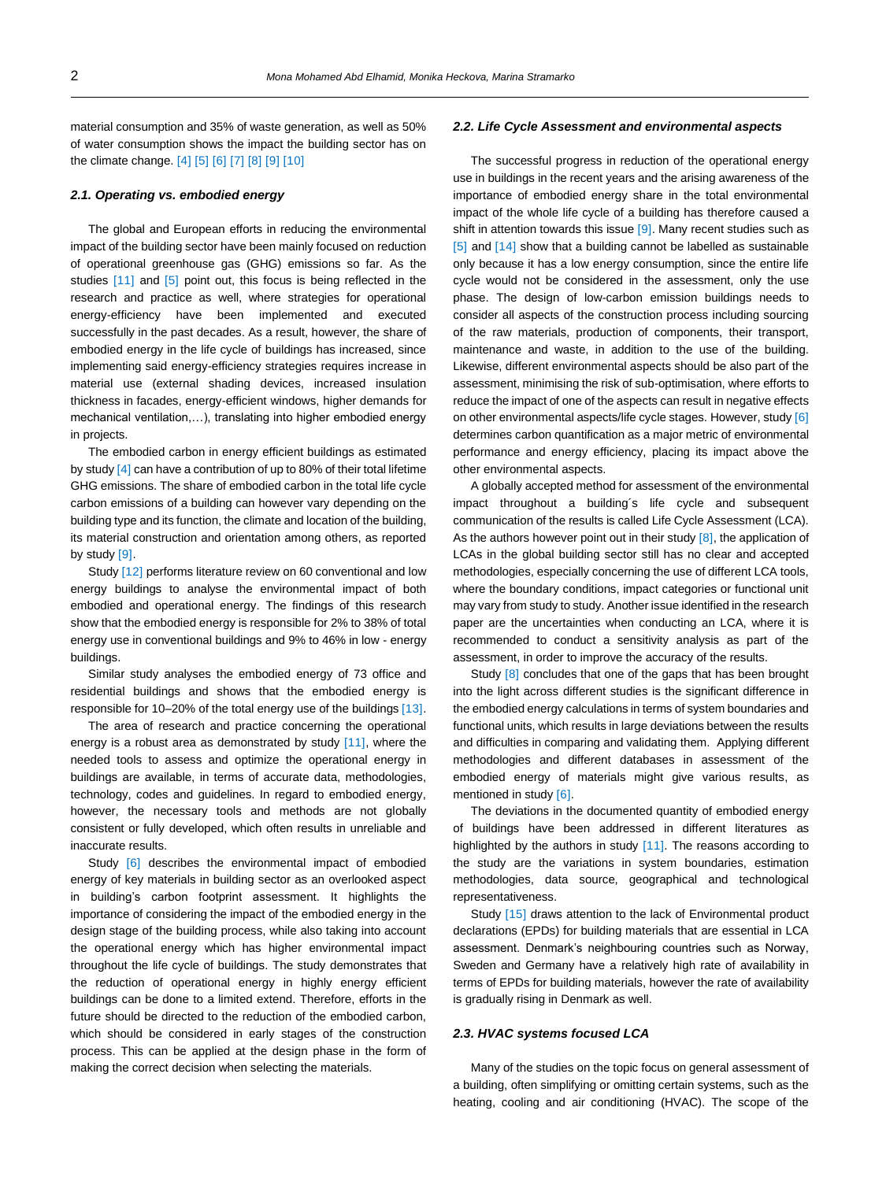material consumption and 35% of waste generation, as well as 50% of water consumption shows the impact the building sector has on the climate change. [4] [5] [6] [7] [8] [9] [10]

#### *2.1. Operating vs. embodied energy*

The global and European efforts in reducing the environmental impact of the building sector have been mainly focused on reduction of operational greenhouse gas (GHG) emissions so far. As the studies [11] and [5] point out, this focus is being reflected in the research and practice as well, where strategies for operational energy-efficiency have been implemented and executed successfully in the past decades. As a result, however, the share of embodied energy in the life cycle of buildings has increased, since implementing said energy-efficiency strategies requires increase in material use (external shading devices, increased insulation thickness in facades, energy-efficient windows, higher demands for mechanical ventilation,…), translating into higher embodied energy in projects.

The embodied carbon in energy efficient buildings as estimated by study [4] can have a contribution of up to 80% of their total lifetime GHG emissions. The share of embodied carbon in the total life cycle carbon emissions of a building can however vary depending on the building type and its function, the climate and location of the building, its material construction and orientation among others, as reported by study [9].

Study [12] performs literature review on 60 conventional and low energy buildings to analyse the environmental impact of both embodied and operational energy. The findings of this research show that the embodied energy is responsible for 2% to 38% of total energy use in conventional buildings and 9% to 46% in low - energy buildings.

Similar study analyses the embodied energy of 73 office and residential buildings and shows that the embodied energy is responsible for 10–20% of the total energy use of the buildings [13].

The area of research and practice concerning the operational energy is a robust area as demonstrated by study [11], where the needed tools to assess and optimize the operational energy in buildings are available, in terms of accurate data, methodologies, technology, codes and guidelines. In regard to embodied energy, however, the necessary tools and methods are not globally consistent or fully developed, which often results in unreliable and inaccurate results.

Study [6] describes the environmental impact of embodied energy of key materials in building sector as an overlooked aspect in building's carbon footprint assessment. It highlights the importance of considering the impact of the embodied energy in the design stage of the building process, while also taking into account the operational energy which has higher environmental impact throughout the life cycle of buildings. The study demonstrates that the reduction of operational energy in highly energy efficient buildings can be done to a limited extend. Therefore, efforts in the future should be directed to the reduction of the embodied carbon, which should be considered in early stages of the construction process. This can be applied at the design phase in the form of making the correct decision when selecting the materials.

#### *2.2. Life Cycle Assessment and environmental aspects*

The successful progress in reduction of the operational energy use in buildings in the recent years and the arising awareness of the importance of embodied energy share in the total environmental impact of the whole life cycle of a building has therefore caused a shift in attention towards this issue [9]. Many recent studies such as [5] and [14] show that a building cannot be labelled as sustainable only because it has a low energy consumption, since the entire life cycle would not be considered in the assessment, only the use phase. The design of low-carbon emission buildings needs to consider all aspects of the construction process including sourcing of the raw materials, production of components, their transport, maintenance and waste, in addition to the use of the building. Likewise, different environmental aspects should be also part of the assessment, minimising the risk of sub-optimisation, where efforts to reduce the impact of one of the aspects can result in negative effects on other environmental aspects/life cycle stages. However, study [6] determines carbon quantification as a major metric of environmental performance and energy efficiency, placing its impact above the other environmental aspects.

A globally accepted method for assessment of the environmental impact throughout a building´s life cycle and subsequent communication of the results is called Life Cycle Assessment (LCA). As the authors however point out in their study  $[8]$ , the application of LCAs in the global building sector still has no clear and accepted methodologies, especially concerning the use of different LCA tools, where the boundary conditions, impact categories or functional unit may vary from study to study. Another issue identified in the research paper are the uncertainties when conducting an LCA, where it is recommended to conduct a sensitivity analysis as part of the assessment, in order to improve the accuracy of the results.

Study [8] concludes that one of the gaps that has been brought into the light across different studies is the significant difference in the embodied energy calculations in terms of system boundaries and functional units, which results in large deviations between the results and difficulties in comparing and validating them. Applying different methodologies and different databases in assessment of the embodied energy of materials might give various results, as mentioned in study [6].

The deviations in the documented quantity of embodied energy of buildings have been addressed in different literatures as highlighted by the authors in study [11]. The reasons according to the study are the variations in system boundaries, estimation methodologies, data source, geographical and technological representativeness.

Study [15] draws attention to the lack of Environmental product declarations (EPDs) for building materials that are essential in LCA assessment. Denmark's neighbouring countries such as Norway, Sweden and Germany have a relatively high rate of availability in terms of EPDs for building materials, however the rate of availability is gradually rising in Denmark as well.

#### *2.3. HVAC systems focused LCA*

Many of the studies on the topic focus on general assessment of a building, often simplifying or omitting certain systems, such as the heating, cooling and air conditioning (HVAC). The scope of the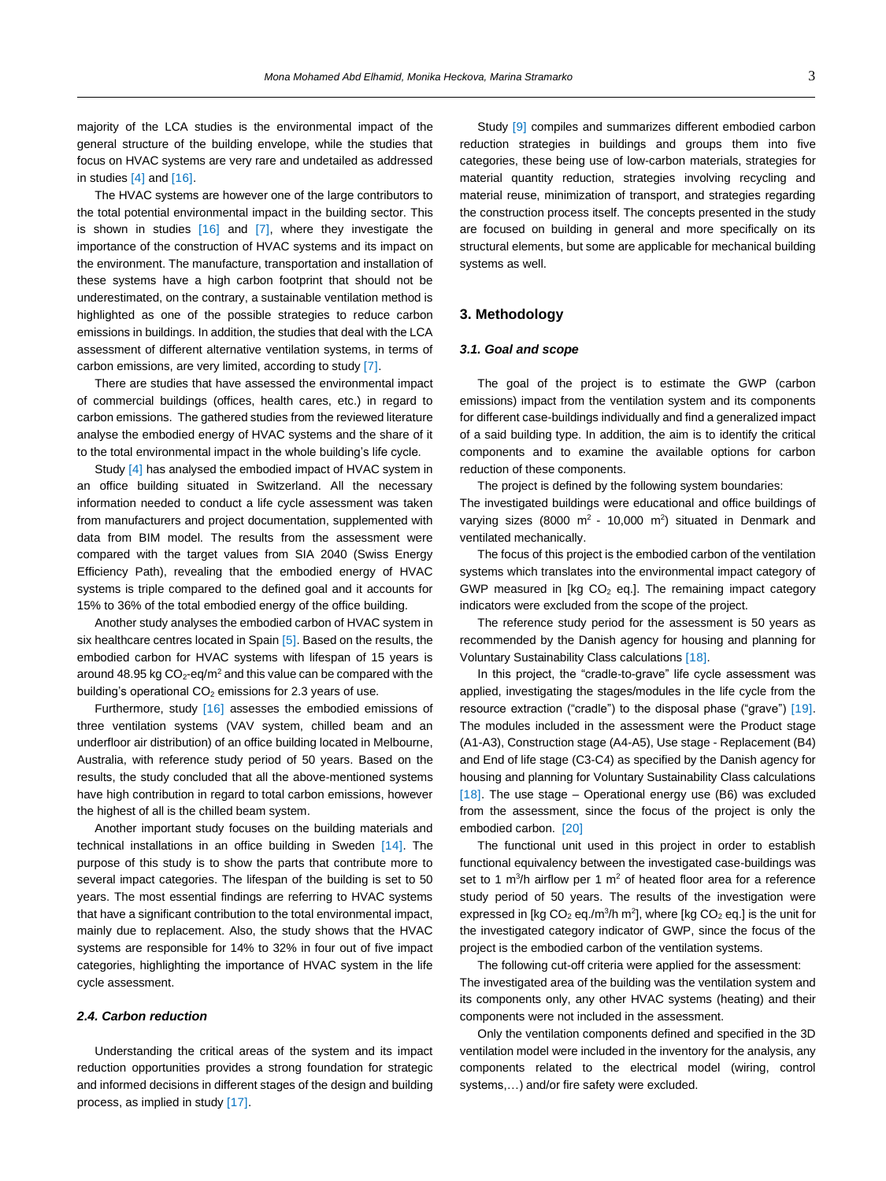majority of the LCA studies is the environmental impact of the general structure of the building envelope, while the studies that focus on HVAC systems are very rare and undetailed as addressed in studies [4] and [16].

The HVAC systems are however one of the large contributors to the total potential environmental impact in the building sector. This is shown in studies  $[16]$  and  $[7]$ , where they investigate the importance of the construction of HVAC systems and its impact on the environment. The manufacture, transportation and installation of these systems have a high carbon footprint that should not be underestimated, on the contrary, a sustainable ventilation method is highlighted as one of the possible strategies to reduce carbon emissions in buildings. In addition, the studies that deal with the LCA assessment of different alternative ventilation systems, in terms of carbon emissions, are very limited, according to study [7].

There are studies that have assessed the environmental impact of commercial buildings (offices, health cares, etc.) in regard to carbon emissions. The gathered studies from the reviewed literature analyse the embodied energy of HVAC systems and the share of it to the total environmental impact in the whole building's life cycle.

Study [4] has analysed the embodied impact of HVAC system in an office building situated in Switzerland. All the necessary information needed to conduct a life cycle assessment was taken from manufacturers and project documentation, supplemented with data from BIM model. The results from the assessment were compared with the target values from SIA 2040 (Swiss Energy Efficiency Path), revealing that the embodied energy of HVAC systems is triple compared to the defined goal and it accounts for 15% to 36% of the total embodied energy of the office building.

Another study analyses the embodied carbon of HVAC system in six healthcare centres located in Spain [5]. Based on the results, the embodied carbon for HVAC systems with lifespan of 15 years is around 48.95 kg  $CO<sub>2</sub>$ -eq/m<sup>2</sup> and this value can be compared with the building's operational  $CO<sub>2</sub>$  emissions for 2.3 years of use.

Furthermore, study [16] assesses the embodied emissions of three ventilation systems (VAV system, chilled beam and an underfloor air distribution) of an office building located in Melbourne, Australia, with reference study period of 50 years. Based on the results, the study concluded that all the above-mentioned systems have high contribution in regard to total carbon emissions, however the highest of all is the chilled beam system.

Another important study focuses on the building materials and technical installations in an office building in Sweden [14]. The purpose of this study is to show the parts that contribute more to several impact categories. The lifespan of the building is set to 50 years. The most essential findings are referring to HVAC systems that have a significant contribution to the total environmental impact, mainly due to replacement. Also, the study shows that the HVAC systems are responsible for 14% to 32% in four out of five impact categories, highlighting the importance of HVAC system in the life cycle assessment.

#### *2.4. Carbon reduction*

Understanding the critical areas of the system and its impact reduction opportunities provides a strong foundation for strategic and informed decisions in different stages of the design and building process, as implied in study [17].

Study [9] compiles and summarizes different embodied carbon reduction strategies in buildings and groups them into five categories, these being use of low-carbon materials, strategies for material quantity reduction, strategies involving recycling and material reuse, minimization of transport, and strategies regarding the construction process itself. The concepts presented in the study are focused on building in general and more specifically on its structural elements, but some are applicable for mechanical building systems as well.

#### <span id="page-2-0"></span>**3. Methodology**

## *3.1. Goal and scope*

The goal of the project is to estimate the GWP (carbon emissions) impact from the ventilation system and its components for different case-buildings individually and find a generalized impact of a said building type. In addition, the aim is to identify the critical components and to examine the available options for carbon reduction of these components.

The project is defined by the following system boundaries:

The investigated buildings were educational and office buildings of varying sizes (8000  $m^2$  - 10,000  $m^2$ ) situated in Denmark and ventilated mechanically.

The focus of this project is the embodied carbon of the ventilation systems which translates into the environmental impact category of GWP measured in [kg  $CO<sub>2</sub>$  eq.]. The remaining impact category indicators were excluded from the scope of the project.

The reference study period for the assessment is 50 years as recommended by the Danish agency for housing and planning for Voluntary Sustainability Class calculations [18].

In this project, the "cradle-to-grave" life cycle assessment was applied, investigating the stages/modules in the life cycle from the resource extraction ("cradle") to the disposal phase ("grave") [19]. The modules included in the assessment were the Product stage (A1-A3), Construction stage (A4-A5), Use stage - Replacement (B4) and End of life stage (C3-C4) as specified by the Danish agency for housing and planning for Voluntary Sustainability Class calculations [18]. The use stage – Operational energy use (B6) was excluded from the assessment, since the focus of the project is only the embodied carbon. [20]

The functional unit used in this project in order to establish functional equivalency between the investigated case-buildings was set to 1  $\text{m}^3$ /h airflow per 1  $\text{m}^2$  of heated floor area for a reference study period of 50 years. The results of the investigation were expressed in [kg  $CO<sub>2</sub>$  eq./m<sup>3</sup>/h m<sup>2</sup>], where [kg  $CO<sub>2</sub>$  eq.] is the unit for the investigated category indicator of GWP, since the focus of the project is the embodied carbon of the ventilation systems.

The following cut-off criteria were applied for the assessment: The investigated area of the building was the ventilation system and its components only, any other HVAC systems (heating) and their components were not included in the assessment.

Only the ventilation components defined and specified in the 3D ventilation model were included in the inventory for the analysis, any components related to the electrical model (wiring, control systems,…) and/or fire safety were excluded.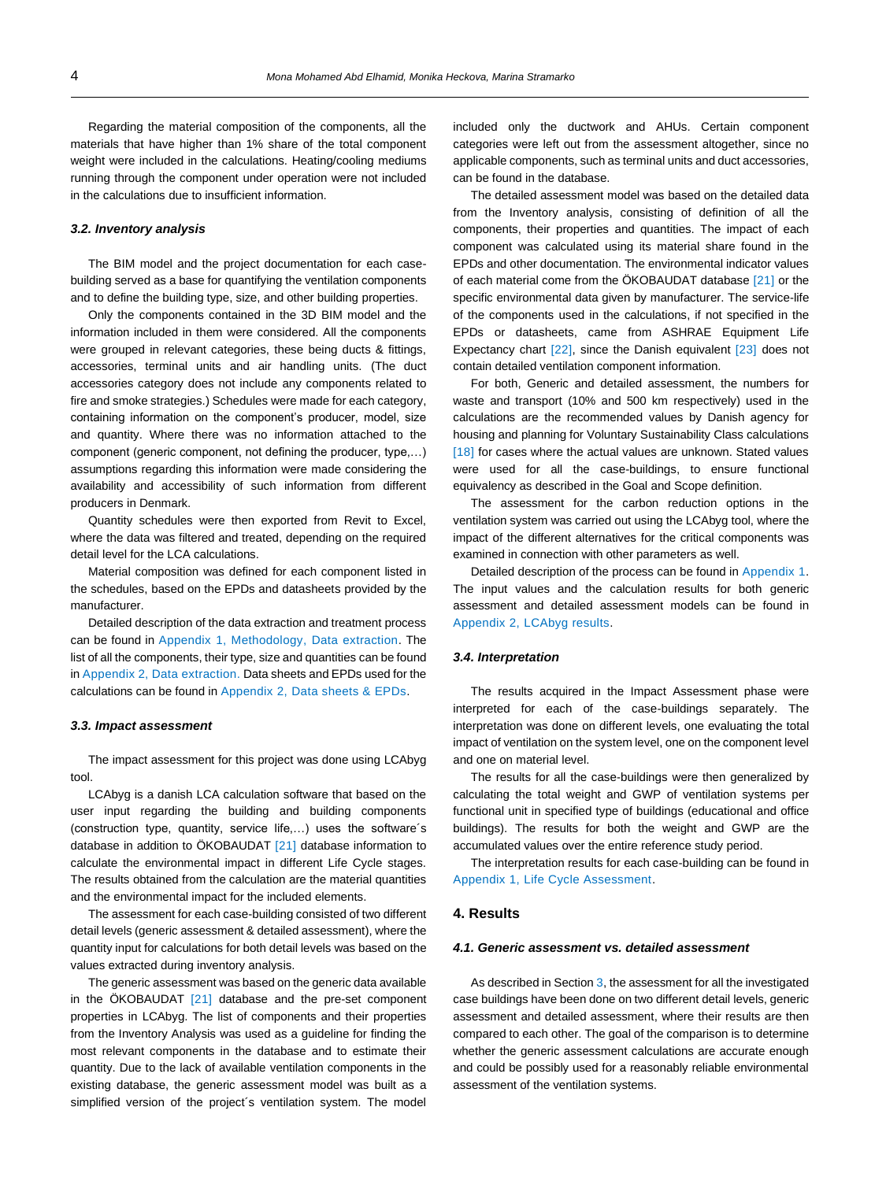Regarding the material composition of the components, all the materials that have higher than 1% share of the total component weight were included in the calculations. Heating/cooling mediums running through the component under operation were not included in the calculations due to insufficient information.

#### *3.2. Inventory analysis*

The BIM model and the project documentation for each casebuilding served as a base for quantifying the ventilation components and to define the building type, size, and other building properties.

Only the components contained in the 3D BIM model and the information included in them were considered. All the components were grouped in relevant categories, these being ducts & fittings, accessories, terminal units and air handling units. (The duct accessories category does not include any components related to fire and smoke strategies.) Schedules were made for each category, containing information on the component's producer, model, size and quantity. Where there was no information attached to the component (generic component, not defining the producer, type,…) assumptions regarding this information were made considering the availability and accessibility of such information from different producers in Denmark.

Quantity schedules were then exported from Revit to Excel, where the data was filtered and treated, depending on the required detail level for the LCA calculations.

Material composition was defined for each component listed in the schedules, based on the EPDs and datasheets provided by the manufacturer.

Detailed description of the data extraction and treatment process can be found in Appendix 1, Methodology, Data extraction. The list of all the components, their type, size and quantities can be found in Appendix 2, Data extraction. Data sheets and EPDs used for the calculations can be found in Appendix 2, Data sheets & EPDs.

#### *3.3. Impact assessment*

The impact assessment for this project was done using LCAbyg tool.

LCAbyg is a danish LCA calculation software that based on the user input regarding the building and building components (construction type, quantity, service life,…) uses the software´s database in addition to ÖKOBAUDAT [21] database information to calculate the environmental impact in different Life Cycle stages. The results obtained from the calculation are the material quantities and the environmental impact for the included elements.

The assessment for each case-building consisted of two different detail levels (generic assessment & detailed assessment), where the quantity input for calculations for both detail levels was based on the values extracted during inventory analysis.

The generic assessment was based on the generic data available in the ÖKOBAUDAT [21] database and the pre-set component properties in LCAbyg. The list of components and their properties from the Inventory Analysis was used as a guideline for finding the most relevant components in the database and to estimate their quantity. Due to the lack of available ventilation components in the existing database, the generic assessment model was built as a simplified version of the project´s ventilation system. The model

included only the ductwork and AHUs. Certain component categories were left out from the assessment altogether, since no applicable components, such as terminal units and duct accessories, can be found in the database.

The detailed assessment model was based on the detailed data from the Inventory analysis, consisting of definition of all the components, their properties and quantities. The impact of each component was calculated using its material share found in the EPDs and other documentation. The environmental indicator values of each material come from the ÖKOBAUDAT database [21] or the specific environmental data given by manufacturer. The service-life of the components used in the calculations, if not specified in the EPDs or datasheets, came from ASHRAE Equipment Life Expectancy chart [22], since the Danish equivalent [23] does not contain detailed ventilation component information.

For both, Generic and detailed assessment, the numbers for waste and transport (10% and 500 km respectively) used in the calculations are the recommended values by Danish agency for housing and planning for Voluntary Sustainability Class calculations [18] for cases where the actual values are unknown. Stated values were used for all the case-buildings, to ensure functional equivalency as described in the Goal and Scope definition.

The assessment for the carbon reduction options in the ventilation system was carried out using the LCAbyg tool, where the impact of the different alternatives for the critical components was examined in connection with other parameters as well.

Detailed description of the process can be found in Appendix 1. The input values and the calculation results for both generic assessment and detailed assessment models can be found in Appendix 2, LCAbyg results.

#### *3.4. Interpretation*

The results acquired in the Impact Assessment phase were interpreted for each of the case-buildings separately. The interpretation was done on different levels, one evaluating the total impact of ventilation on the system level, one on the component level and one on material level.

The results for all the case-buildings were then generalized by calculating the total weight and GWP of ventilation systems per functional unit in specified type of buildings (educational and office buildings). The results for both the weight and GWP are the accumulated values over the entire reference study period.

The interpretation results for each case-building can be found in Appendix 1, Life Cycle Assessment.

## <span id="page-3-0"></span>**4. Results**

#### *4.1. Generic assessment vs. detailed assessment*

As described in Sectio[n 3,](#page-2-0) the assessment for all the investigated case buildings have been done on two different detail levels, generic assessment and detailed assessment, where their results are then compared to each other. The goal of the comparison is to determine whether the generic assessment calculations are accurate enough and could be possibly used for a reasonably reliable environmental assessment of the ventilation systems.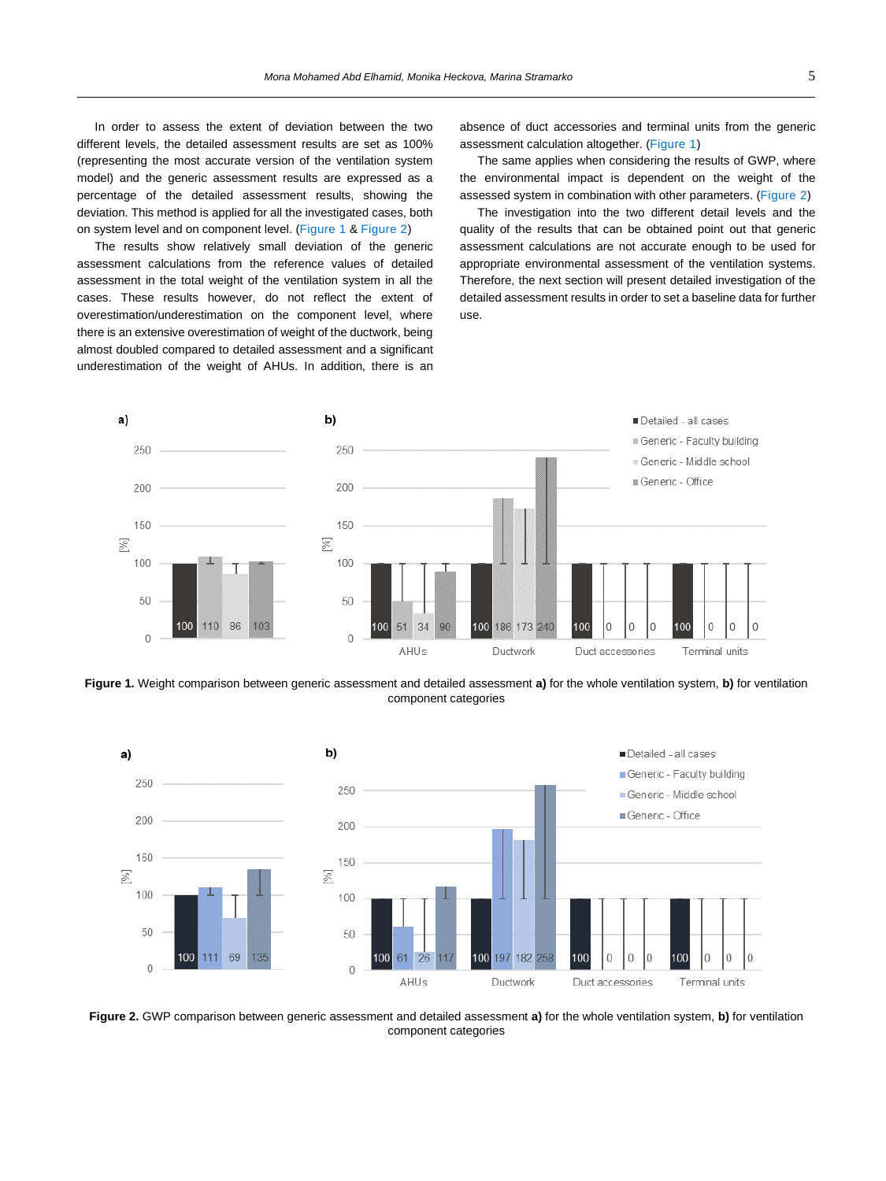In order to assess the extent of deviation between the two different levels, the detailed assessment results are set as 100% (representing the most accurate version of the ventilation system model) and the generic assessment results are expressed as a percentage of the detailed assessment results, showing the deviation. This method is applied for all the investigated cases, both on system level and on component level. [\(Figure 1](#page-4-0) [& Figure 2\)](#page-4-1)

The results show relatively small deviation of the generic assessment calculations from the reference values of detailed assessment in the total weight of the ventilation system in all the cases. These results however, do not reflect the extent of overestimation/underestimation on the component level, where there is an extensive overestimation of weight of the ductwork, being almost doubled compared to detailed assessment and a significant underestimation of the weight of AHUs. In addition, there is an absence of duct accessories and terminal units from the generic assessment calculation altogether. [\(Figure 1\)](#page-4-0)

The same applies when considering the results of GWP, where the environmental impact is dependent on the weight of the assessed system in combination with other parameters. [\(Figure 2\)](#page-4-1)

The investigation into the two different detail levels and the quality of the results that can be obtained point out that generic assessment calculations are not accurate enough to be used for appropriate environmental assessment of the ventilation systems. Therefore, the next section will present detailed investigation of the detailed assessment results in order to set a baseline data for further use.



<span id="page-4-0"></span>**Figure 1.** Weight comparison between generic assessment and detailed assessment **a)** for the whole ventilation system, **b)** for ventilation component categories



<span id="page-4-1"></span>**Figure 2.** GWP comparison between generic assessment and detailed assessment **a)** for the whole ventilation system, **b)** for ventilation component categories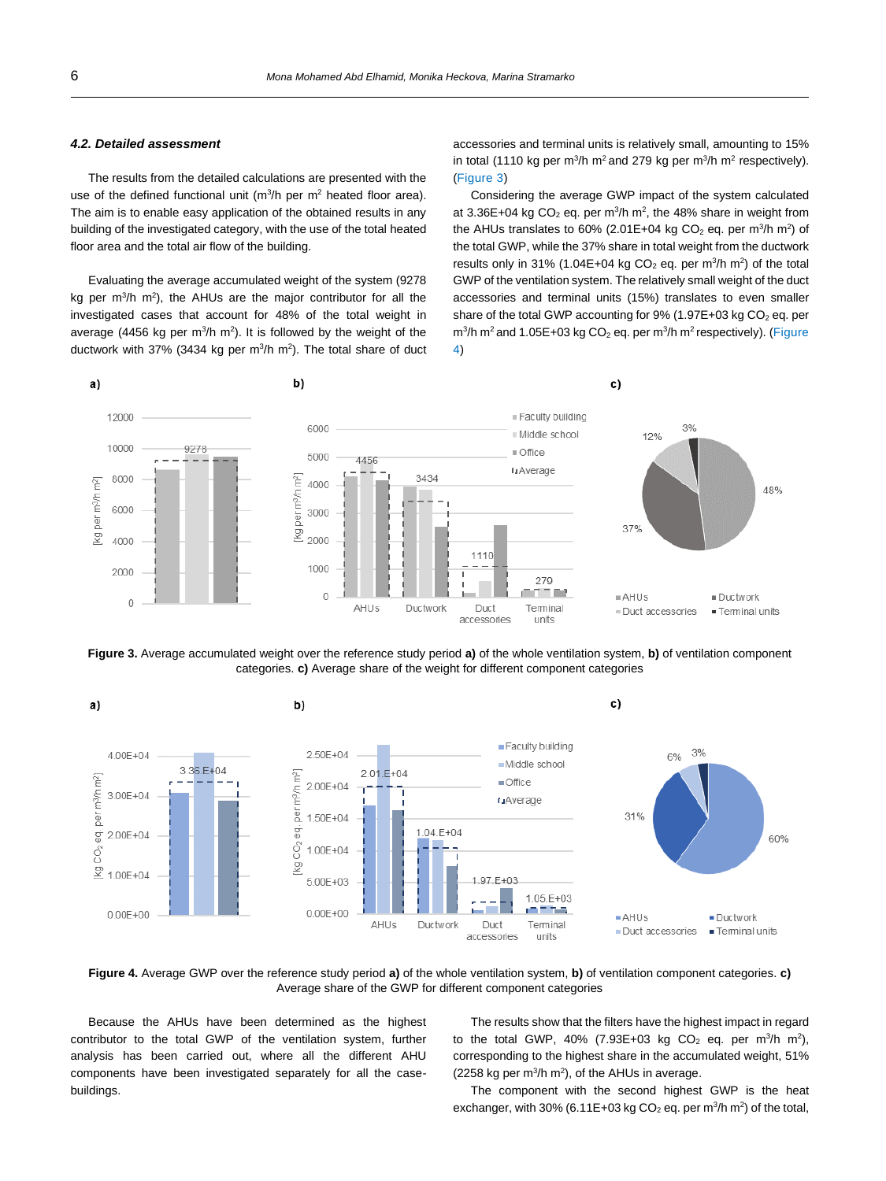# <span id="page-5-2"></span>*4.2. Detailed assessment*

The results from the detailed calculations are presented with the use of the defined functional unit ( $m^3/h$  per  $m^2$  heated floor area). The aim is to enable easy application of the obtained results in any building of the investigated category, with the use of the total heated floor area and the total air flow of the building.

Evaluating the average accumulated weight of the system (9278 kg per  $m^3/h$   $m^2$ ), the AHUs are the major contributor for all the investigated cases that account for 48% of the total weight in average (4456 kg per  $m^3/h$   $m^2$ ). It is followed by the weight of the ductwork with 37% (3434 kg per  $m^3/h$   $m^2$ ). The total share of duct accessories and terminal units is relatively small, amounting to 15% in total (1110 kg per m<sup>3</sup>/h m<sup>2</sup> and 279 kg per m<sup>3</sup>/h m<sup>2</sup> respectively). [\(Figure 3\)](#page-5-0)

Considering the average GWP impact of the system calculated at 3.36E+04 kg  $CO<sub>2</sub>$  eq. per m<sup>3</sup>/h m<sup>2</sup>, the 48% share in weight from the AHUs translates to 60% (2.01E+04 kg CO<sub>2</sub> eq. per m<sup>3</sup>/h m<sup>2</sup>) of the total GWP, while the 37% share in total weight from the ductwork results only in 31% (1.04E+04 kg  $CO<sub>2</sub>$  eq. per m<sup>3</sup>/h m<sup>2</sup>) of the total GWP of the ventilation system. The relatively small weight of the duct accessories and terminal units (15%) translates to even smaller share of the total GWP accounting for  $9\%$  (1.97E+03 kg CO<sub>2</sub> eq. per  $m^3/h$  m<sup>2</sup> and 1.05E+03 kg CO<sub>2</sub> eq. per m<sup>3</sup>/h m<sup>2</sup> respectively). (Figure [4\)](#page-5-1)



<span id="page-5-0"></span>**Figure 3.** Average accumulated weight over the reference study period **a)** of the whole ventilation system, **b)** of ventilation component categories. **c)** Average share of the weight for different component categories



<span id="page-5-1"></span>**Figure 4.** Average GWP over the reference study period **a)** of the whole ventilation system, **b)** of ventilation component categories. **c)** Average share of the GWP for different component categories

Because the AHUs have been determined as the highest contributor to the total GWP of the ventilation system, further analysis has been carried out, where all the different AHU components have been investigated separately for all the casebuildings.

The results show that the filters have the highest impact in regard to the total GWP, 40% (7.93E+03 kg CO<sub>2</sub> eq. per m<sup>3</sup>/h m<sup>2</sup>), corresponding to the highest share in the accumulated weight, 51%  $(2258 \text{ kg per m}^3/\text{h m}^2)$ , of the AHUs in average.

The component with the second highest GWP is the heat exchanger, with 30% (6.11E+03 kg  $CO<sub>2</sub>$  eq. per m<sup>3</sup>/h m<sup>2</sup>) of the total,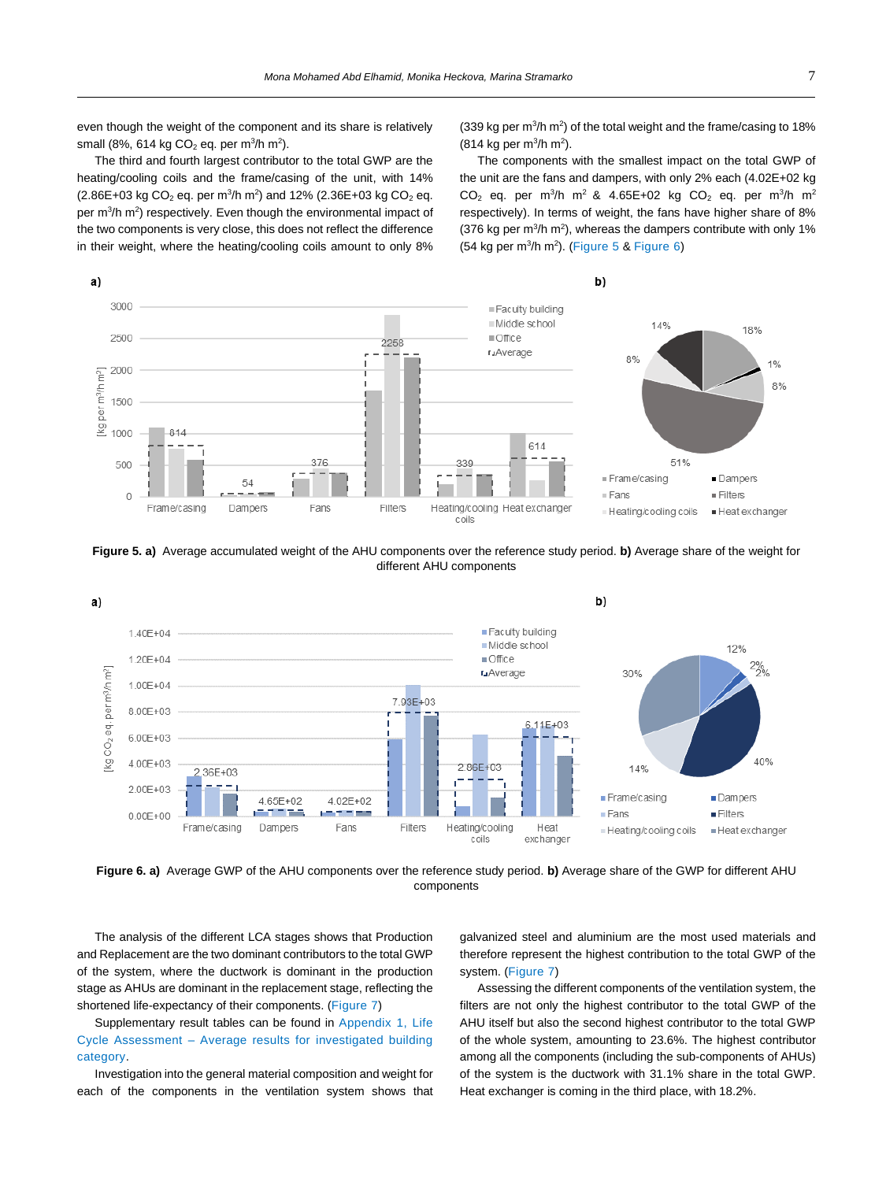even though the weight of the component and its share is relatively small (8%, 614 kg CO $_2$  eq. per m $^3$ /h m $^2$ ).

The third and fourth largest contributor to the total GWP are the heating/cooling coils and the frame/casing of the unit, with 14%  $(2.86E+03 \text{ kg } CO<sub>2</sub> \text{ eq.} \text{ per } \text{m}^3/\text{h } \text{m}^2)$  and 12%  $(2.36E+03 \text{ kg } CO<sub>2</sub> \text{ eq.} \text{ eq.} \text{ eq.} \text{ eq.} \text{ eq.} \text{ eq.} \text{ eq.} \text{ eq.} \text{ eq.} \text{ eq.} \text{ eq.} \text{ eq.} \text{ eq.} \text{ eq.} \text{ eq.} \text{ eq.} \text{ eq.} \text{ eq.} \text{ eq.} \text{ eq.} \text{ eq.} \text{ eq.} \text$ per m<sup>3</sup>/h m<sup>2</sup>) respectively. Even though the environmental impact of the two components is very close, this does not reflect the difference in their weight, where the heating/cooling coils amount to only 8%

 $(339 \text{ kg per m}^3/h \text{ m}^2)$  of the total weight and the frame/casing to 18%  $(814 \text{ kg per m}^3/h \text{ m}^2).$ 

The components with the smallest impact on the total GWP of the unit are the fans and dampers, with only 2% each (4.02E+02 kg  $CO<sub>2</sub>$  eq. per m<sup>3</sup>/h m<sup>2</sup> & 4.65E+02 kg  $CO<sub>2</sub>$  eq. per m<sup>3</sup>/h m<sup>2</sup> respectively). In terms of weight, the fans have higher share of 8% (376 kg per  $m^3/h$  m<sup>2</sup>), whereas the dampers contribute with only 1%  $(54 \text{ kg per m}^3/h \text{ m}^2)$ . [\(Figure 5](#page-6-0) & [Figure 6\)](#page-6-1)



<span id="page-6-0"></span>**Figure 5. a)** Average accumulated weight of the AHU components over the reference study period. **b)** Average share of the weight for different AHU components



<span id="page-6-1"></span>**Figure 6. a)** Average GWP of the AHU components over the reference study period. **b)** Average share of the GWP for different AHU components

The analysis of the different LCA stages shows that Production and Replacement are the two dominant contributors to the total GWP of the system, where the ductwork is dominant in the production stage as AHUs are dominant in the replacement stage, reflecting the shortened life-expectancy of their components. [\(Figure 7\)](#page-7-0)

Supplementary result tables can be found in Appendix 1, Life Cycle Assessment – Average results for investigated building category.

Investigation into the general material composition and weight for each of the components in the ventilation system shows that

galvanized steel and aluminium are the most used materials and therefore represent the highest contribution to the total GWP of the system. [\(Figure 7\)](#page-7-0)

Assessing the different components of the ventilation system, the filters are not only the highest contributor to the total GWP of the AHU itself but also the second highest contributor to the total GWP of the whole system, amounting to 23.6%. The highest contributor among all the components (including the sub-components of AHUs) of the system is the ductwork with 31.1% share in the total GWP. Heat exchanger is coming in the third place, with 18.2%.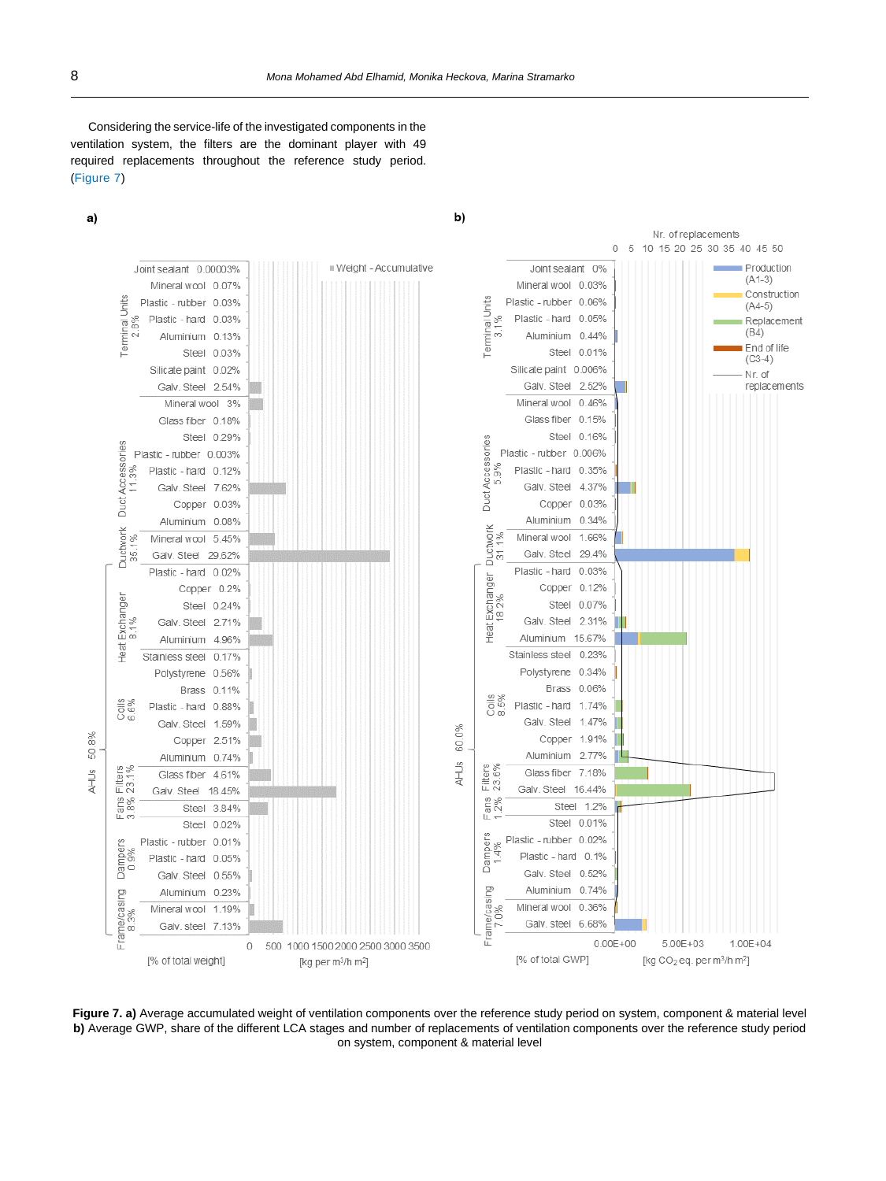b)

Considering the service-life of the investigated components in the ventilation system, the filters are the dominant player with 49 required replacements throughout the reference study period. [\(Figure 7\)](#page-7-0)





<span id="page-7-0"></span>Figure 7. a) Average accumulated weight of ventilation components over the reference study period on system, component & material level **b)** Average GWP, share of the different LCA stages and number of replacements of ventilation components over the reference study period on system, component & material level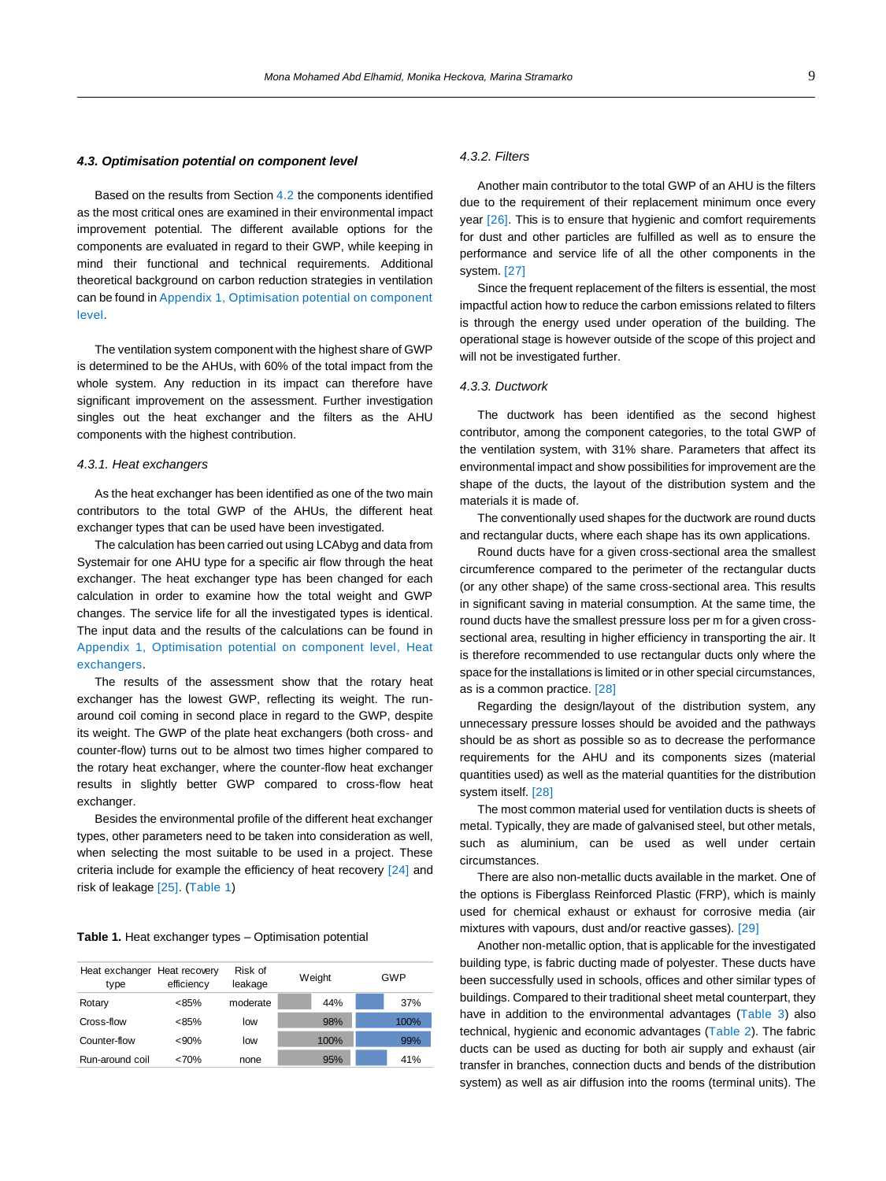#### *4.3. Optimisation potential on component level*

Based on the results from Section [4.2](#page-5-2) the components identified as the most critical ones are examined in their environmental impact improvement potential. The different available options for the components are evaluated in regard to their GWP, while keeping in mind their functional and technical requirements. Additional theoretical background on carbon reduction strategies in ventilation can be found in Appendix 1, Optimisation potential on component level.

The ventilation system component with the highest share of GWP is determined to be the AHUs, with 60% of the total impact from the whole system. Any reduction in its impact can therefore have significant improvement on the assessment. Further investigation singles out the heat exchanger and the filters as the AHU components with the highest contribution.

#### *4.3.1. Heat exchangers*

As the heat exchanger has been identified as one of the two main contributors to the total GWP of the AHUs, the different heat exchanger types that can be used have been investigated.

The calculation has been carried out using LCAbyg and data from Systemair for one AHU type for a specific air flow through the heat exchanger. The heat exchanger type has been changed for each calculation in order to examine how the total weight and GWP changes. The service life for all the investigated types is identical. The input data and the results of the calculations can be found in Appendix 1, Optimisation potential on component level, Heat exchangers.

The results of the assessment show that the rotary heat exchanger has the lowest GWP, reflecting its weight. The runaround coil coming in second place in regard to the GWP, despite its weight. The GWP of the plate heat exchangers (both cross- and counter-flow) turns out to be almost two times higher compared to the rotary heat exchanger, where the counter-flow heat exchanger results in slightly better GWP compared to cross-flow heat exchanger.

Besides the environmental profile of the different heat exchanger types, other parameters need to be taken into consideration as well, when selecting the most suitable to be used in a project. These criteria include for example the efficiency of heat recovery [24] and risk of leakage [25]. [\(Table 1\)](#page-8-0)

#### <span id="page-8-0"></span>**Table 1.** Heat exchanger types – Optimisation potential

| Heat exchanger Heat recovery<br>type | efficiency | Risk of<br>leakage | Weight | GWP  |
|--------------------------------------|------------|--------------------|--------|------|
| Rotary                               | <85%       | moderate           | 44%    | 37%  |
| Cross-flow                           | <85%       | low                | 98%    | 100% |
| Counter-flow                         | $< 90\%$   | low                | 100%   | 99%  |
| Run-around coil                      | <70%       | none               | 95%    | 41%  |

#### *4.3.2. Filters*

Another main contributor to the total GWP of an AHU is the filters due to the requirement of their replacement minimum once every year [26]. This is to ensure that hygienic and comfort requirements for dust and other particles are fulfilled as well as to ensure the performance and service life of all the other components in the system. [27]

Since the frequent replacement of the filters is essential, the most impactful action how to reduce the carbon emissions related to filters is through the energy used under operation of the building. The operational stage is however outside of the scope of this project and will not be investigated further.

#### *4.3.3. Ductwork*

The ductwork has been identified as the second highest contributor, among the component categories, to the total GWP of the ventilation system, with 31% share. Parameters that affect its environmental impact and show possibilities for improvement are the shape of the ducts, the layout of the distribution system and the materials it is made of.

The conventionally used shapes for the ductwork are round ducts and rectangular ducts, where each shape has its own applications.

Round ducts have for a given cross-sectional area the smallest circumference compared to the perimeter of the rectangular ducts (or any other shape) of the same cross-sectional area. This results in significant saving in material consumption. At the same time, the round ducts have the smallest pressure loss per m for a given crosssectional area, resulting in higher efficiency in transporting the air. It is therefore recommended to use rectangular ducts only where the space for the installations is limited or in other special circumstances, as is a common practice. [28]

Regarding the design/layout of the distribution system, any unnecessary pressure losses should be avoided and the pathways should be as short as possible so as to decrease the performance requirements for the AHU and its components sizes (material quantities used) as well as the material quantities for the distribution system itself. [28]

The most common material used for ventilation ducts is sheets of metal. Typically, they are made of galvanised steel, but other metals, such as aluminium, can be used as well under certain circumstances.

There are also non-metallic ducts available in the market. One of the options is Fiberglass Reinforced Plastic (FRP), which is mainly used for chemical exhaust or exhaust for corrosive media (air mixtures with vapours, dust and/or reactive gasses). [29]

Another non-metallic option, that is applicable for the investigated building type, is fabric ducting made of polyester. These ducts have been successfully used in schools, offices and other similar types of buildings. Compared to their traditional sheet metal counterpart, they have in addition to the environmental advantages [\(Table 3\)](#page-9-1) also technical, hygienic and economic advantages [\(Table 2\)](#page-9-2). The fabric ducts can be used as ducting for both air supply and exhaust (air transfer in branches, connection ducts and bends of the distribution From the efficiency Risk of the efficiency ender at the multiple ender and the right of the efficiency the efficiency the efficiency the efficiency the efficiency the efficiency the ender at the rooms of the rooms of the r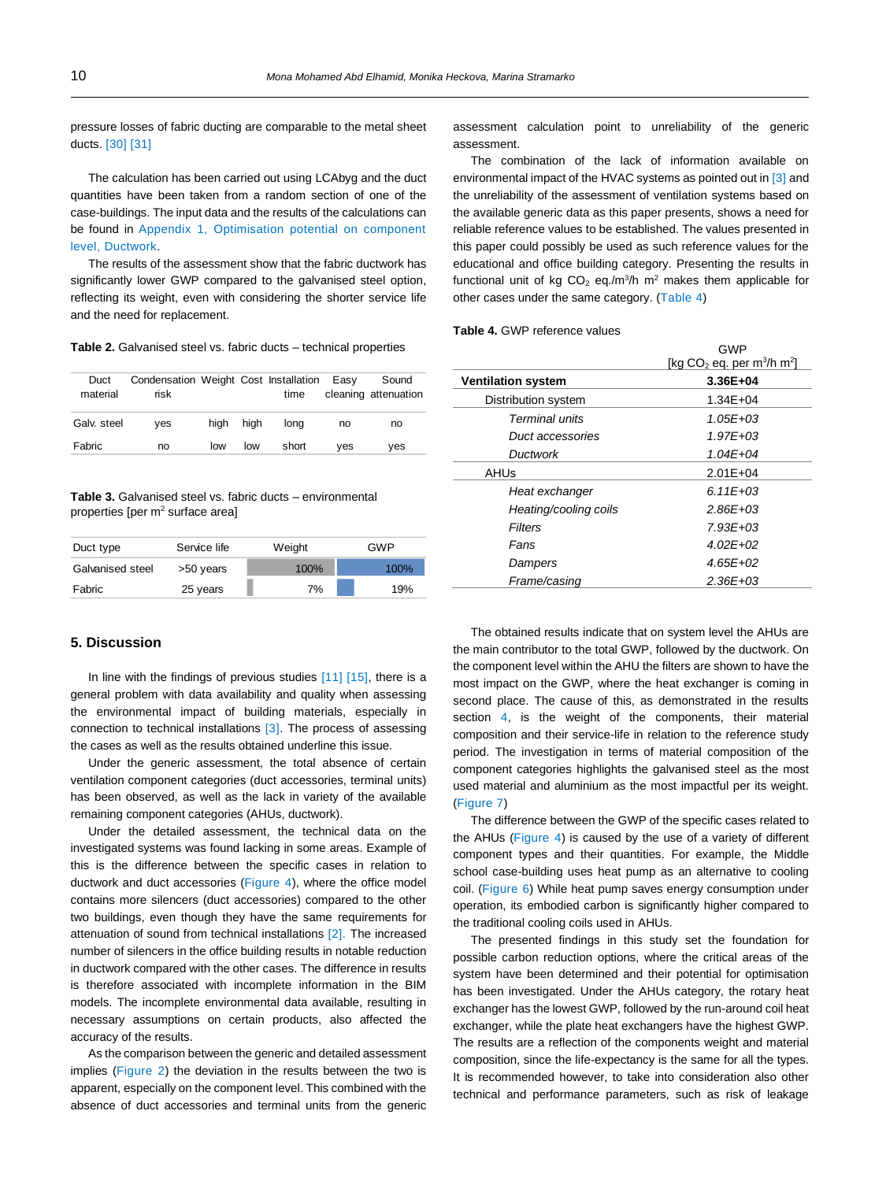pressure losses of fabric ducting are comparable to the metal sheet ducts. [30] [31]

The calculation has been carried out using LCAbyg and the duct quantities have been taken from a random section of one of the case-buildings. The input data and the results of the calculations can be found in Appendix 1, Optimisation potential on component level, Ductwork.

The results of the assessment show that the fabric ductwork has significantly lower GWP compared to the galvanised steel option, reflecting its weight, even with considering the shorter service life and the need for replacement.

<span id="page-9-2"></span>**Table 2.** Galvanised steel vs. fabric ducts – technical properties

| Duct<br>material | Condensation Weight Cost Installation Easy<br>risk |      |      | time  |     | Sound<br>cleaning attenuation |
|------------------|----------------------------------------------------|------|------|-------|-----|-------------------------------|
| Galv. steel      | ves                                                | hiah | hiah | lona  | no  | no                            |
| Fabric           | no                                                 | low  | low  | short | ves | ves                           |

<span id="page-9-1"></span>**Table 3.** Galvanised steel vs. fabric ducts – environmental properties [per  $m<sup>2</sup>$  surface area]

| Duct type        | Service life | Weight | GWP  |
|------------------|--------------|--------|------|
| Galvanised steel | >50 years    | 100%   | 100% |
| Fabric           | 25 years     | 7%     | 19%  |

# <span id="page-9-0"></span>**5. Discussion**

In line with the findings of previous studies [11] [15], there is a general problem with data availability and quality when assessing the environmental impact of building materials, especially in connection to technical installations [3]. The process of assessing the cases as well as the results obtained underline this issue.

Under the generic assessment, the total absence of certain ventilation component categories (duct accessories, terminal units) has been observed, as well as the lack in variety of the available remaining component categories (AHUs, ductwork).

Under the detailed assessment, the technical data on the investigated systems was found lacking in some areas. Example of this is the difference between the specific cases in relation to ductwork and duct accessories [\(Figure 4\)](#page-5-1), where the office model contains more silencers (duct accessories) compared to the other two buildings, even though they have the same requirements for attenuation of sound from technical installations [2]. The increased number of silencers in the office building results in notable reduction in ductwork compared with the other cases. The difference in results is therefore associated with incomplete information in the BIM models. The incomplete environmental data available, resulting in necessary assumptions on certain products, also affected the accuracy of the results.

As the comparison between the generic and detailed assessment implies [\(Figure 2\)](#page-4-1) the deviation in the results between the two is apparent, especially on the component level. This combined with the absence of duct accessories and terminal units from the generic

assessment calculation point to unreliability of the generic assessment.

The combination of the lack of information available on environmental impact of the HVAC systems as pointed out in [3] and the unreliability of the assessment of ventilation systems based on the available generic data as this paper presents, shows a need for reliable reference values to be established. The values presented in this paper could possibly be used as such reference values for the educational and office building category. Presenting the results in functional unit of kg  $CO<sub>2</sub>$  eq./m<sup>3</sup>/h m<sup>2</sup> makes them applicable for other cases under the same category. [\(Table 4\)](#page-9-3)

<span id="page-9-3"></span>**Table 4.** GWP reference values

|                           | GWP                                                  |
|---------------------------|------------------------------------------------------|
|                           | [kg $CO2$ eq. per m <sup>3</sup> /h m <sup>2</sup> ] |
| <b>Ventilation system</b> | 3.36E+04                                             |
| Distribution system       | $1.34E + 04$                                         |
| Terminal units            | $1.05E + 0.3$                                        |
| Duct accessories          | $1.97E + 0.3$                                        |
| Ductwork                  | $1.04E + 04$                                         |
| AHUs                      | $2.01E + 04$                                         |
| Heat exchanger            | $6.11F + 0.3$                                        |
| Heating/cooling coils     | $2.86E + 0.3$                                        |
| Filters                   | $7.93E + 0.3$                                        |
| Fans                      | $4.02F + 02$                                         |
| Dampers                   | $4.65E + 02$                                         |
| Frame/casing              | $2.36E + 0.3$                                        |
|                           |                                                      |

The obtained results indicate that on system level the AHUs are the main contributor to the total GWP, followed by the ductwork. On the component level within the AHU the filters are shown to have the most impact on the GWP, where the heat exchanger is coming in second place. The cause of this, as demonstrated in the results section [4,](#page-3-0) is the weight of the components, their material composition and their service-life in relation to the reference study period. The investigation in terms of material composition of the component categories highlights the galvanised steel as the most used material and aluminium as the most impactful per its weight. [\(Figure 7\)](#page-7-0)

The difference between the GWP of the specific cases related to the AHUs [\(Figure 4\)](#page-5-1) is caused by the use of a variety of different component types and their quantities. For example, the Middle school case-building uses heat pump as an alternative to cooling coil. [\(Figure 6\)](#page-6-1) While heat pump saves energy consumption under operation, its embodied carbon is significantly higher compared to the traditional cooling coils used in AHUs.

The presented findings in this study set the foundation for possible carbon reduction options, where the critical areas of the system have been determined and their potential for optimisation has been investigated. Under the AHUs category, the rotary heat exchanger has the lowest GWP, followed by the run-around coil heat exchanger, while the plate heat exchangers have the highest GWP. The results are a reflection of the components weight and material composition, since the life-expectancy is the same for all the types. It is recommended however, to take into consideration also other technical and performance parameters, such as risk of leakage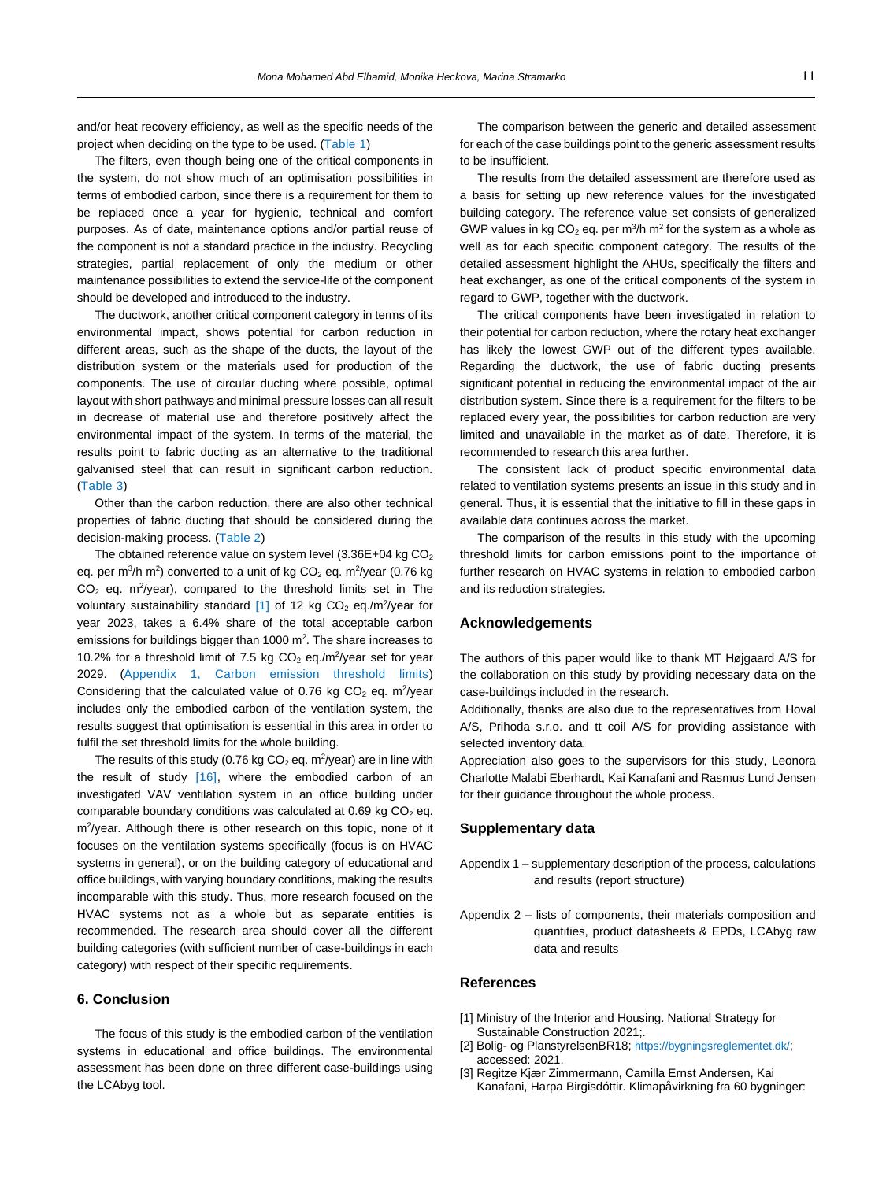and/or heat recovery efficiency, as well as the specific needs of the project when deciding on the type to be used. [\(Table 1\)](#page-8-0)

The filters, even though being one of the critical components in the system, do not show much of an optimisation possibilities in terms of embodied carbon, since there is a requirement for them to be replaced once a year for hygienic, technical and comfort purposes. As of date, maintenance options and/or partial reuse of the component is not a standard practice in the industry. Recycling strategies, partial replacement of only the medium or other maintenance possibilities to extend the service-life of the component should be developed and introduced to the industry.

The ductwork, another critical component category in terms of its environmental impact, shows potential for carbon reduction in different areas, such as the shape of the ducts, the layout of the distribution system or the materials used for production of the components. The use of circular ducting where possible, optimal layout with short pathways and minimal pressure losses can all result in decrease of material use and therefore positively affect the environmental impact of the system. In terms of the material, the results point to fabric ducting as an alternative to the traditional galvanised steel that can result in significant carbon reduction. [\(Table 3\)](#page-9-1)

Other than the carbon reduction, there are also other technical properties of fabric ducting that should be considered during the decision-making process. [\(Table 2\)](#page-9-2)

The obtained reference value on system level  $(3.36E+04 kg CO<sub>2</sub>)$ eq. per m<sup>3</sup>/h m<sup>2</sup>) converted to a unit of kg CO<sub>2</sub> eq. m<sup>2</sup>/year (0.76 kg  $CO<sub>2</sub>$  eq. m<sup>2</sup>/year), compared to the threshold limits set in The voluntary sustainability standard  $[1]$  of 12 kg CO<sub>2</sub> eq./m<sup>2</sup>/year for year 2023, takes a 6.4% share of the total acceptable carbon emissions for buildings bigger than 1000  $m^2$ . The share increases to 10.2% for a threshold limit of 7.5 kg  $CO<sub>2</sub>$  eq./m<sup>2</sup>/year set for year 2029. (Appendix 1, Carbon emission threshold limits) Considering that the calculated value of 0.76 kg  $CO<sub>2</sub>$  eq. m<sup>2</sup>/year includes only the embodied carbon of the ventilation system, the results suggest that optimisation is essential in this area in order to fulfil the set threshold limits for the whole building.

The results of this study (0.76 kg  $CO<sub>2</sub>$  eq. m<sup>2</sup>/year) are in line with the result of study [16], where the embodied carbon of an investigated VAV ventilation system in an office building under comparable boundary conditions was calculated at  $0.69$  kg  $CO<sub>2</sub>$  eq. m<sup>2</sup>/year. Although there is other research on this topic, none of it focuses on the ventilation systems specifically (focus is on HVAC systems in general), or on the building category of educational and office buildings, with varying boundary conditions, making the results incomparable with this study. Thus, more research focused on the HVAC systems not as a whole but as separate entities is recommended. The research area should cover all the different building categories (with sufficient number of case-buildings in each category) with respect of their specific requirements.

# <span id="page-10-0"></span>**6. Conclusion**

The focus of this study is the embodied carbon of the ventilation systems in educational and office buildings. The environmental assessment has been done on three different case-buildings using the LCAbyg tool.

The comparison between the generic and detailed assessment for each of the case buildings point to the generic assessment results to be insufficient.

The results from the detailed assessment are therefore used as a basis for setting up new reference values for the investigated building category. The reference value set consists of generalized GWP values in kg  $CO<sub>2</sub>$  eq. per m<sup>3</sup>/h m<sup>2</sup> for the system as a whole as well as for each specific component category. The results of the detailed assessment highlight the AHUs, specifically the filters and heat exchanger, as one of the critical components of the system in regard to GWP, together with the ductwork.

The critical components have been investigated in relation to their potential for carbon reduction, where the rotary heat exchanger has likely the lowest GWP out of the different types available. Regarding the ductwork, the use of fabric ducting presents significant potential in reducing the environmental impact of the air distribution system. Since there is a requirement for the filters to be replaced every year, the possibilities for carbon reduction are very limited and unavailable in the market as of date. Therefore, it is recommended to research this area further.

The consistent lack of product specific environmental data related to ventilation systems presents an issue in this study and in general. Thus, it is essential that the initiative to fill in these gaps in available data continues across the market.

The comparison of the results in this study with the upcoming threshold limits for carbon emissions point to the importance of further research on HVAC systems in relation to embodied carbon and its reduction strategies.

## **Acknowledgements**

The authors of this paper would like to thank MT Højgaard A/S for the collaboration on this study by providing necessary data on the case-buildings included in the research.

Additionally, thanks are also due to the representatives from Hoval A/S, Prihoda s.r.o. and tt coil A/S for providing assistance with selected inventory data.

Appreciation also goes to the supervisors for this study, Leonora Charlotte Malabi Eberhardt, Kai Kanafani and Rasmus Lund Jensen for their guidance throughout the whole process.

# **Supplementary data**

- Appendix 1 supplementary description of the process, calculations and results (report structure)
- Appendix 2 lists of components, their materials composition and quantities, product datasheets & EPDs, LCAbyg raw data and results

# **References**

- [1] Ministry of the Interior and Housing. National Strategy for Sustainable Construction 2021;.
- [2] Bolig- og PlanstyrelsenBR18; <https://bygningsreglementet.dk/>; accessed: 2021.
- [3] Regitze Kjær Zimmermann, Camilla Ernst Andersen, Kai Kanafani, Harpa Birgisdóttir. Klimapåvirkning fra 60 bygninger: